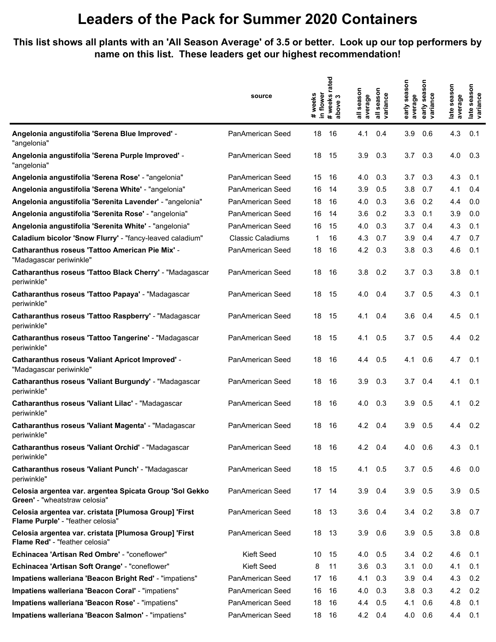## **Leaders of the Pack for Summer 2020 Containers**

**This list shows all plants with an 'All Season Average' of 3.5 or better. Look up our top performers by name on this list. These leaders get our highest recommendation!**

|                                                                                          | source                   | rated                                         |                                                 | nosi                                                   |                                                              |
|------------------------------------------------------------------------------------------|--------------------------|-----------------------------------------------|-------------------------------------------------|--------------------------------------------------------|--------------------------------------------------------------|
|                                                                                          |                          | in flower<br># weeks<br># weeks<br>ო<br>above | all season<br>all season<br>variance<br>average | season<br>sea<br>variance<br>average<br>early<br>early | season<br>season<br>late seas<br>variance<br>average<br>late |
| Angelonia angustifolia 'Serena Blue Improved' -                                          | PanAmerican Seed         | 18                                            | 4.1                                             | 3.9                                                    | 4.3                                                          |
| "angelonia"                                                                              |                          | 16                                            | 0.4                                             | 0.6                                                    | 0.1                                                          |
| Angelonia angustifolia 'Serena Purple Improved' -                                        | PanAmerican Seed         | 18                                            | 3.9                                             | 3.7                                                    | 4.0                                                          |
| "angelonia"                                                                              |                          | 15                                            | 0.3                                             | 0.3                                                    | 0.3                                                          |
| Angelonia angustifolia 'Serena Rose' - "angelonia"                                       | PanAmerican Seed         | 15<br>16                                      | 0.3<br>4.0                                      | 3.7<br>0.3                                             | 4.3<br>0.1                                                   |
| Angelonia angustifolia 'Serena White' - "angelonia"                                      | PanAmerican Seed         | 16<br>14                                      | 3.9<br>0.5                                      | 3.8<br>0.7                                             | 4.1<br>0.4                                                   |
| Angelonia angustifolia 'Serenita Lavender' - "angelonia"                                 | PanAmerican Seed         | 18<br>16                                      | 4.0<br>0.3                                      | 3.6<br>0.2                                             | 4.4<br>0.0                                                   |
| Angelonia angustifolia 'Serenita Rose' - "angelonia"                                     | PanAmerican Seed         | 16<br>14                                      | 3.6<br>0.2                                      | 3.3<br>0.1                                             | 3.9<br>0.0                                                   |
| Angelonia angustifolia 'Serenita White' - "angelonia"                                    | PanAmerican Seed         | 16<br>15                                      | 4.0<br>0.3                                      | 3.7<br>0.4                                             | 4.3<br>0.1                                                   |
| Caladium bicolor 'Snow Flurry' - "fancy-leaved caladium"                                 | <b>Classic Caladiums</b> | 16<br>1                                       | 4.3<br>0.7                                      | 3.9<br>0.4                                             | 4.7<br>0.7                                                   |
| Catharanthus roseus 'Tattoo American Pie Mix' -                                          | <b>PanAmerican Seed</b>  | 18                                            | 4.2                                             | 3.8                                                    | 4.6                                                          |
| "Madagascar periwinkle"                                                                  |                          | 16                                            | 0.3                                             | 0.3                                                    | 0.1                                                          |
| Catharanthus roseus 'Tattoo Black Cherry' - "Madagascar                                  | PanAmerican Seed         | 18                                            | 0.2                                             | 3.7                                                    | 3.8                                                          |
| periwinkle"                                                                              |                          | 16                                            | 3.8                                             | 0.3                                                    | 0.1                                                          |
| Catharanthus roseus 'Tattoo Papaya' - "Madagascar                                        | PanAmerican Seed         | 18                                            | 4.0                                             | 0.5                                                    | 4.3                                                          |
| periwinkle"                                                                              |                          | 15                                            | 0.4                                             | 3.7                                                    | 0.1                                                          |
| Catharanthus roseus 'Tattoo Raspberry' - "Madagascar                                     | PanAmerican Seed         | 18                                            | 4.1                                             | 3.6                                                    | 4.5                                                          |
| periwinkle"                                                                              |                          | 15                                            | 0.4                                             | 0.4                                                    | 0.1                                                          |
| Catharanthus roseus 'Tattoo Tangerine' - "Madagascar                                     | <b>PanAmerican Seed</b>  | 18                                            | 4.1                                             | 3.7                                                    | 4.4                                                          |
| periwinkle"                                                                              |                          | 15                                            | 0.5                                             | 0.5                                                    | 0.2                                                          |
| <b>Catharanthus roseus 'Valiant Apricot Improved' -</b>                                  | PanAmerican Seed         | 18                                            | 4.4                                             | 4.1                                                    | 4.7                                                          |
| "Madagascar periwinkle"                                                                  |                          | 16                                            | 0.5                                             | 0.6                                                    | 0.1                                                          |
| Catharanthus roseus 'Valiant Burgundy' - "Madagascar                                     | PanAmerican Seed         | 18                                            | 3.9                                             | 3.7                                                    | 4.1                                                          |
| periwinkle"                                                                              |                          | 16                                            | 0.3                                             | 0.4                                                    | 0.1                                                          |
| Catharanthus roseus 'Valiant Lilac' - "Madagascar                                        | <b>PanAmerican Seed</b>  | 18                                            | 4.0                                             | 3.9                                                    | 4.1                                                          |
| periwinkle"                                                                              |                          | 16                                            | 0.3                                             | 0.5                                                    | 0.2                                                          |
| Catharanthus roseus 'Valiant Magenta' - "Madagascar                                      | PanAmerican Seed         | 18                                            | 4.2                                             | 3.9                                                    | 0.2                                                          |
| periwinkle"                                                                              |                          | 16                                            | 0.4                                             | 0.5                                                    | 4.4                                                          |
| Catharanthus roseus 'Valiant Orchid' - "Madagascar                                       | PanAmerican Seed         | 18                                            | 4.2                                             | 4.0                                                    | 4.3                                                          |
| periwinkle"                                                                              |                          | - 16                                          | 0.4                                             | - 0.6                                                  | 0.1                                                          |
| Catharanthus roseus 'Valiant Punch' - "Madagascar                                        | PanAmerican Seed         | 18                                            | 4.1                                             | 3.7                                                    | 4.6                                                          |
| periwinkle"                                                                              |                          | - 15                                          | 0.5                                             | 0.5                                                    | 0.0                                                          |
| Celosia argentea var. argentea Spicata Group 'Sol Gekko<br>Green' - "wheatstraw celosia" | PanAmerican Seed         | 17 14                                         | 3.9<br>0.4                                      | 3.9<br>0.5                                             | 3.9<br>0.5                                                   |
| Celosia argentea var. cristata [Plumosa Group] 'First                                    | PanAmerican Seed         | 18                                            | 3.6                                             | 3.4                                                    | 3.8                                                          |
| Flame Purple' - "feather celosia"                                                        |                          | 13                                            | 0.4                                             | 0.2                                                    | 0.7                                                          |
| Celosia argentea var. cristata [Plumosa Group] 'First                                    | PanAmerican Seed         | 18                                            | 0.6                                             | 3.9                                                    | 3.8                                                          |
| Flame Red' - "feather celosia"                                                           |                          | - 13                                          | 3.9                                             | 0.5                                                    | 0.8                                                          |
| Echinacea 'Artisan Red Ombre' - "coneflower"                                             | <b>Kieft Seed</b>        | 10<br>15                                      | 4.0<br>0.5                                      | 3.4<br>0.2                                             | 0.1<br>4.6                                                   |
| Echinacea 'Artisan Soft Orange' - "coneflower"                                           | Kieft Seed               | 8<br>11                                       | 3.6<br>0.3                                      | 3.1<br>0.0                                             | 4.1<br>0.1                                                   |
| Impatiens walleriana 'Beacon Bright Red' - "impatiens"                                   | PanAmerican Seed         | 17<br>16                                      | 4.1<br>0.3                                      | 3.9<br>0.4                                             | 4.3<br>0.2                                                   |
| Impatiens walleriana 'Beacon Coral' - "impatiens"                                        | PanAmerican Seed         | 16<br>16                                      | 4.0<br>0.3                                      | 3.8<br>0.3                                             | 4.2<br>0.2                                                   |
| Impatiens walleriana 'Beacon Rose' - "impatiens"                                         | PanAmerican Seed         | 18<br>16                                      | 0.5<br>4.4                                      | 4.1<br>0.6                                             | 4.8<br>0.1                                                   |
| Impatiens walleriana 'Beacon Salmon' - "impatiens"                                       | PanAmerican Seed         | 18<br>16                                      | 4.2<br>0.4                                      | 4.0<br>0.6                                             | 4.4<br>0.1                                                   |